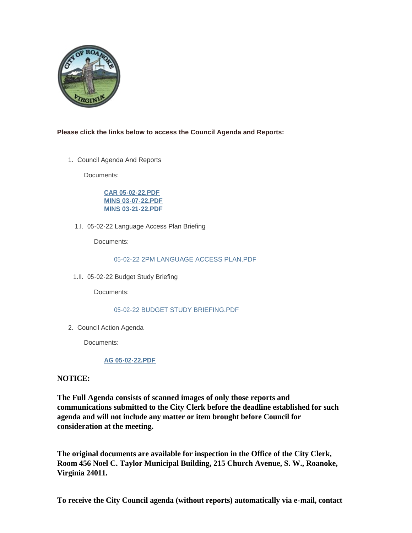

# **Please click the links below to access the Council Agenda and Reports:**

1. Council Agenda And Reports

Documents:

**[CAR 05-02-22.PDF](https://www.roanokeva.gov/AgendaCenter/ViewFile/Item/1076?fileID=19001) [MINS 03-07-22.PDF](https://www.roanokeva.gov/AgendaCenter/ViewFile/Item/1076?fileID=19002) [MINS 03-21-22.PDF](https://www.roanokeva.gov/AgendaCenter/ViewFile/Item/1076?fileID=19003)**

05-02-22 Language Access Plan Briefing 1.I.

Documents:

## [05-02-22 2PM LANGUAGE ACCESS PLAN.PDF](https://www.roanokeva.gov/AgendaCenter/ViewFile/Item/1079?fileID=19009)

05-02-22 Budget Study Briefing 1.II.

Documents:

# [05-02-22 BUDGET STUDY BRIEFING.PDF](https://www.roanokeva.gov/AgendaCenter/ViewFile/Item/1080?fileID=19011)

2. Council Action Agenda

Documents:

# **[AG 05-02-22.PDF](https://www.roanokeva.gov/AgendaCenter/ViewFile/Item/1081?fileID=19014)**

# **NOTICE:**

**The Full Agenda consists of scanned images of only those reports and communications submitted to the City Clerk before the deadline established for such agenda and will not include any matter or item brought before Council for consideration at the meeting.**

**The original documents are available for inspection in the Office of the City Clerk, Room 456 Noel C. Taylor Municipal Building, 215 Church Avenue, S. W., Roanoke, Virginia 24011.**

**To receive the City Council agenda (without reports) automatically via e-mail, contact**